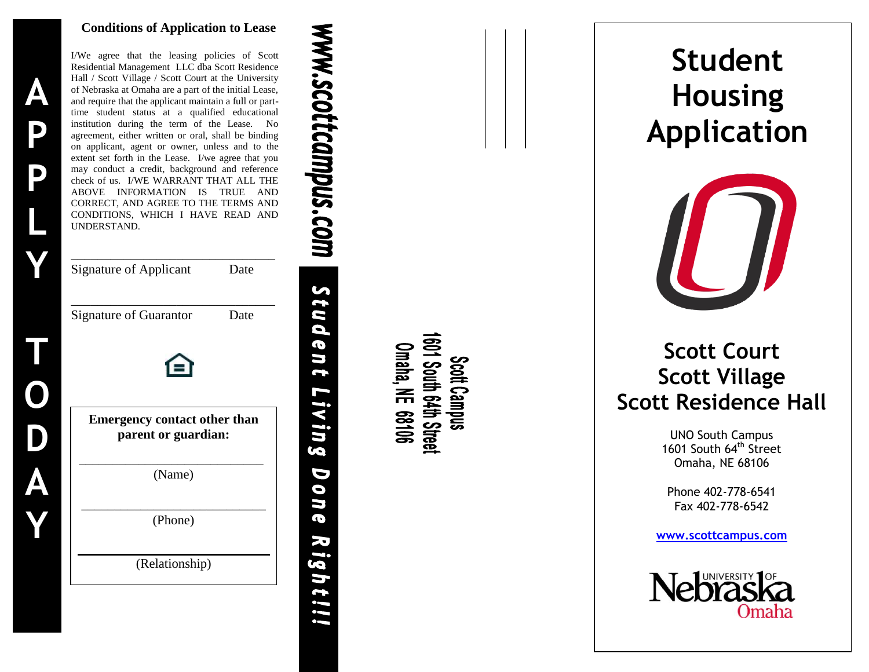#### **Conditions of Application to Lease**



I/We agree that the leasing policies of Scott Residential Management LLC d ba Scott Residence Hall / Scott Village / Scott Court at the University of Nebraska at Omaha are a part of the initial Lease, and require that the applicant maintain a full or part time student status at a qualified educational institution during the term of the Lease. No agreement, either written or oral, shall be binding on applicant, agent or owner, unless and to the extent set forth in the Lease. I/we agree that you may conduct a credit, background and reference check of us. I/WE WARRANT THAT ALL THE ABOVE INFORMATION IS TRUE AND CORRECT, AND AGREE TO THE TERMS AND CONDITIONS, WHICH I HAVE READ AND UNDERSTAND. \_\_\_\_\_\_\_\_\_\_\_\_\_\_\_\_\_\_\_\_\_\_\_\_\_\_\_\_\_\_\_ Signature of Applicant Date \_\_\_\_\_\_\_\_\_\_\_\_\_\_\_\_\_\_\_\_\_\_\_\_\_\_\_\_\_\_\_ Signature of Guarantor Date **Emergency contact other than parent or guardian:** \_\_\_\_\_\_\_\_\_\_\_\_\_\_\_\_\_\_\_\_\_\_\_\_\_\_\_\_ (Name) \_\_\_\_\_\_\_\_\_\_\_\_\_\_\_\_\_\_\_\_\_\_\_\_\_\_\_\_ (Phone) (Relationship)

1601 South 64th Street<br>Omaha, NE 68106 Scott Campus

**WWW.Scottcampus.com** 

Student

Living

D

**ONG** 

20

*ight!!!* 

# **Student Housing Application**



# **Scott Court Scott Village Scott Residence Hall**

UNO South Campus 1601 South 64<sup>th</sup> Street Omaha, NE 68106

Phone 402 -778 -6541 Fax 402 -778 -6542

**www.scottcampus.com**